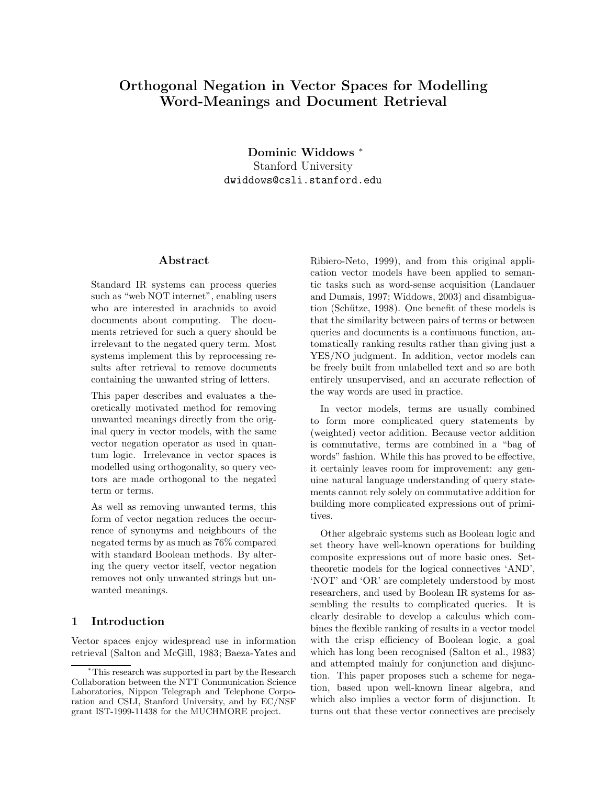# Orthogonal Negation in Vector Spaces for Modelling Word-Meanings and Document Retrieval

Dominic Widdows <sup>∗</sup> Stanford University dwiddows@csli.stanford.edu

### Abstract

Standard IR systems can process queries such as "web NOT internet", enabling users who are interested in arachnids to avoid documents about computing. The documents retrieved for such a query should be irrelevant to the negated query term. Most systems implement this by reprocessing results after retrieval to remove documents containing the unwanted string of letters.

This paper describes and evaluates a theoretically motivated method for removing unwanted meanings directly from the original query in vector models, with the same vector negation operator as used in quantum logic. Irrelevance in vector spaces is modelled using orthogonality, so query vectors are made orthogonal to the negated term or terms.

As well as removing unwanted terms, this form of vector negation reduces the occurrence of synonyms and neighbours of the negated terms by as much as 76% compared with standard Boolean methods. By altering the query vector itself, vector negation removes not only unwanted strings but unwanted meanings.

# 1 Introduction

Vector spaces enjoy widespread use in information retrieval (Salton and McGill, 1983; Baeza-Yates and Ribiero-Neto, 1999), and from this original application vector models have been applied to semantic tasks such as word-sense acquisition (Landauer and Dumais, 1997; Widdows, 2003) and disambiguation (Schütze, 1998). One benefit of these models is that the similarity between pairs of terms or between queries and documents is a continuous function, automatically ranking results rather than giving just a YES/NO judgment. In addition, vector models can be freely built from unlabelled text and so are both entirely unsupervised, and an accurate reflection of the way words are used in practice.

In vector models, terms are usually combined to form more complicated query statements by (weighted) vector addition. Because vector addition is commutative, terms are combined in a "bag of words" fashion. While this has proved to be effective, it certainly leaves room for improvement: any genuine natural language understanding of query statements cannot rely solely on commutative addition for building more complicated expressions out of primitives.

Other algebraic systems such as Boolean logic and set theory have well-known operations for building composite expressions out of more basic ones. Settheoretic models for the logical connectives 'AND', 'NOT' and 'OR' are completely understood by most researchers, and used by Boolean IR systems for assembling the results to complicated queries. It is clearly desirable to develop a calculus which combines the flexible ranking of results in a vector model with the crisp efficiency of Boolean logic, a goal which has long been recognised (Salton et al., 1983) and attempted mainly for conjunction and disjunction. This paper proposes such a scheme for negation, based upon well-known linear algebra, and which also implies a vector form of disjunction. It turns out that these vector connectives are precisely

<sup>∗</sup>This research was supported in part by the Research Collaboration between the NTT Communication Science Laboratories, Nippon Telegraph and Telephone Corporation and CSLI, Stanford University, and by EC/NSF grant IST-1999-11438 for the MUCHMORE project.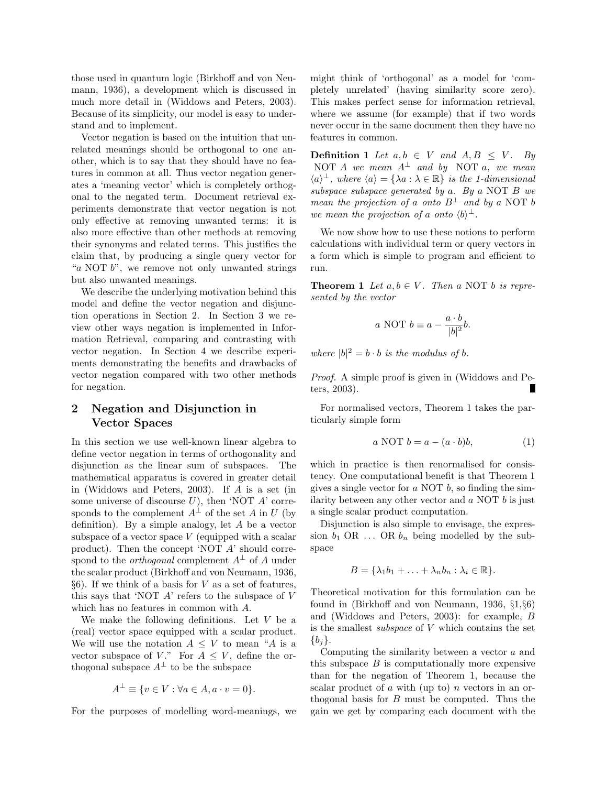those used in quantum logic (Birkhoff and von Neumann, 1936), a development which is discussed in much more detail in (Widdows and Peters, 2003). Because of its simplicity, our model is easy to understand and to implement.

Vector negation is based on the intuition that unrelated meanings should be orthogonal to one another, which is to say that they should have no features in common at all. Thus vector negation generates a 'meaning vector' which is completely orthogonal to the negated term. Document retrieval experiments demonstrate that vector negation is not only effective at removing unwanted terms: it is also more effective than other methods at removing their synonyms and related terms. This justifies the claim that, by producing a single query vector for "a NOT  $b$ ", we remove not only unwanted strings" but also unwanted meanings.

We describe the underlying motivation behind this model and define the vector negation and disjunction operations in Section 2. In Section 3 we review other ways negation is implemented in Information Retrieval, comparing and contrasting with vector negation. In Section 4 we describe experiments demonstrating the benefits and drawbacks of vector negation compared with two other methods for negation.

## 2 Negation and Disjunction in Vector Spaces

In this section we use well-known linear algebra to define vector negation in terms of orthogonality and disjunction as the linear sum of subspaces. The mathematical apparatus is covered in greater detail in (Widdows and Peters, 2003). If A is a set (in some universe of discourse  $U$ ), then 'NOT  $A$ ' corresponds to the complement  $A^{\perp}$  of the set A in U (by definition). By a simple analogy, let A be a vector subspace of a vector space V (equipped with a scalar product). Then the concept 'NOT A' should correspond to the *orthogonal* complement  $A^{\perp}$  of A under the scalar product (Birkhoff and von Neumann, 1936,  $§6$ ). If we think of a basis for V as a set of features, this says that 'NOT  $\vec{A}$ ' refers to the subspace of  $V$ which has no features in common with A.

We make the following definitions. Let  $V$  be a (real) vector space equipped with a scalar product. We will use the notation  $A \leq V$  to mean "A is a vector subspace of V." For  $A \leq V$ , define the orthogonal subspace  $A^{\perp}$  to be the subspace

$$
A^{\perp} \equiv \{ v \in V : \forall a \in A, a \cdot v = 0 \}.
$$

For the purposes of modelling word-meanings, we

might think of 'orthogonal' as a model for 'completely unrelated' (having similarity score zero). This makes perfect sense for information retrieval, where we assume (for example) that if two words never occur in the same document then they have no features in common.

**Definition 1** Let  $a, b \in V$  and  $A, B \leq V$ . By NOT A we mean  $A^{\perp}$  and by NOT a, we mean  $\langle a \rangle^{\perp}$ , where  $\langle a \rangle = {\lambda a : \lambda \in \mathbb{R}}$  is the 1-dimensional subspace subspace generated by  $a$ . By  $a$  NOT  $B$  we mean the projection of a onto  $B^{\perp}$  and by a NOT b we mean the projection of a onto  $\langle b \rangle^{\perp}$ .

We now show how to use these notions to perform calculations with individual term or query vectors in a form which is simple to program and efficient to run.

**Theorem 1** Let  $a, b \in V$ . Then a NOT b is represented by the vector

$$
a \text{ NOT } b \equiv a - \frac{a \cdot b}{|b|^2}b.
$$

where  $|b|^2 = b \cdot b$  is the modulus of b.

Proof. A simple proof is given in (Widdows and Peters, 2003).

For normalised vectors, Theorem 1 takes the particularly simple form

$$
a\text{ NOT }b = a - (a \cdot b)b,\tag{1}
$$

which in practice is then renormalised for consistency. One computational benefit is that Theorem 1 gives a single vector for  $a$  NOT  $b$ , so finding the similarity between any other vector and  $\alpha$  NOT  $\delta$  is just a single scalar product computation.

Disjunction is also simple to envisage, the expression  $b_1$  OR ... OR  $b_n$  being modelled by the subspace

$$
B = \{\lambda_1 b_1 + \ldots + \lambda_n b_n : \lambda_i \in \mathbb{R}\}.
$$

Theoretical motivation for this formulation can be found in (Birkhoff and von Neumann, 1936, §1,§6) and (Widdows and Peters, 2003): for example, B is the smallest *subspace* of  $V$  which contains the set  ${b_i}$ .

Computing the similarity between a vector a and this subspace  $B$  is computationally more expensive than for the negation of Theorem 1, because the scalar product of  $a$  with (up to)  $n$  vectors in an orthogonal basis for B must be computed. Thus the gain we get by comparing each document with the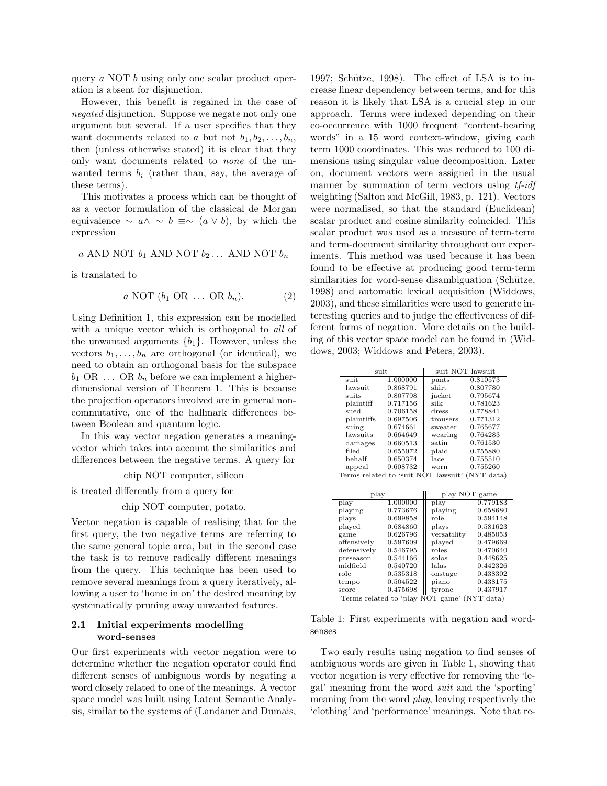query a NOT b using only one scalar product operation is absent for disjunction.

However, this benefit is regained in the case of negated disjunction. Suppose we negate not only one argument but several. If a user specifies that they want documents related to a but not  $b_1, b_2, \ldots, b_n$ , then (unless otherwise stated) it is clear that they only want documents related to none of the unwanted terms  $b_i$  (rather than, say, the average of these terms).

This motivates a process which can be thought of as a vector formulation of the classical de Morgan equivalence  $\sim a \wedge \sim b \equiv \sim (a \vee b)$ , by which the expression

$$
a
$$
 AND NOT  $b_1$  AND NOT  $b_2$ ... AND NOT  $b_n$ 

is translated to

$$
a\,\text{NOT}\,\left(b_1\,\text{OR}\,\dots\,\text{OR}\,b_n\right). \tag{2}
$$

Using Definition 1, this expression can be modelled with a unique vector which is orthogonal to all of the unwanted arguments  ${b_1}$ . However, unless the vectors  $b_1, \ldots, b_n$  are orthogonal (or identical), we need to obtain an orthogonal basis for the subspace  $b_1$  OR  $\ldots$  OR  $b_n$  before we can implement a higherdimensional version of Theorem 1. This is because the projection operators involved are in general noncommutative, one of the hallmark differences between Boolean and quantum logic.

In this way vector negation generates a meaningvector which takes into account the similarities and differences between the negative terms. A query for

chip NOT computer, silicon

is treated differently from a query for

chip NOT computer, potato.

Vector negation is capable of realising that for the first query, the two negative terms are referring to the same general topic area, but in the second case the task is to remove radically different meanings from the query. This technique has been used to remove several meanings from a query iteratively, allowing a user to 'home in on' the desired meaning by systematically pruning away unwanted features.

### 2.1 Initial experiments modelling word-senses

Our first experiments with vector negation were to determine whether the negation operator could find different senses of ambiguous words by negating a word closely related to one of the meanings. A vector space model was built using Latent Semantic Analysis, similar to the systems of (Landauer and Dumais,

1997; Schütze, 1998). The effect of LSA is to increase linear dependency between terms, and for this reason it is likely that LSA is a crucial step in our approach. Terms were indexed depending on their co-occurrence with 1000 frequent "content-bearing words" in a 15 word context-window, giving each term 1000 coordinates. This was reduced to 100 dimensions using singular value decomposition. Later on, document vectors were assigned in the usual manner by summation of term vectors using the *th*-idh weighting (Salton and McGill, 1983, p. 121). Vectors were normalised, so that the standard (Euclidean) scalar product and cosine similarity coincided. This scalar product was used as a measure of term-term and term-document similarity throughout our experiments. This method was used because it has been found to be effective at producing good term-term similarities for word-sense disambiguation (Schütze, 1998) and automatic lexical acquisition (Widdows, 2003), and these similarities were used to generate interesting queries and to judge the effectiveness of different forms of negation. More details on the building of this vector space model can be found in (Widdows, 2003; Widdows and Peters, 2003).

| suit       |          | suit NOT lawsuit |          |  |  |  |  |
|------------|----------|------------------|----------|--|--|--|--|
| suit       | 1.000000 | pants            | 0.810573 |  |  |  |  |
| lawsuit    | 0.868791 | shirt            | 0.807780 |  |  |  |  |
| suits      | 0.807798 | jacket           | 0.795674 |  |  |  |  |
| plaintiff  | 0.717156 | silk             | 0.781623 |  |  |  |  |
| sued       | 0.706158 | dress            | 0.778841 |  |  |  |  |
| plaintiffs | 0.697506 | trousers         | 0.771312 |  |  |  |  |
| suing      | 0.674661 | sweater          | 0.765677 |  |  |  |  |
| lawsuits   | 0.664649 | wearing          | 0.764283 |  |  |  |  |
| damages    | 0.660513 | satin            | 0.761530 |  |  |  |  |
| filed      | 0.655072 | plaid            | 0.755880 |  |  |  |  |
| behalf     | 0.650374 | lace             | 0.755510 |  |  |  |  |
| appeal     | 0.608732 | worn             | 0.755260 |  |  |  |  |
|            |          |                  |          |  |  |  |  |

Terms related to 'suit NOT lawsuit' (NYT data)

| play        |          | play NOT game |          |  |  |  |  |
|-------------|----------|---------------|----------|--|--|--|--|
| play        | 1.000000 | play          | 0.779183 |  |  |  |  |
| playing     | 0.773676 | playing       | 0.658680 |  |  |  |  |
| plays       | 0.699858 | role          | 0.594148 |  |  |  |  |
| played      | 0.684860 | plays         | 0.581623 |  |  |  |  |
| game        | 0.626796 | versatility   | 0.485053 |  |  |  |  |
| offensively | 0.597609 | played        | 0.479669 |  |  |  |  |
| defensively | 0.546795 | roles         | 0.470640 |  |  |  |  |
| preseason   | 0.544166 | solos         | 0.448625 |  |  |  |  |
| midfield    | 0.540720 | lalas         | 0.442326 |  |  |  |  |
| role        | 0.535318 | onstage       | 0.438302 |  |  |  |  |
| tempo       | 0.504522 | piano         | 0.438175 |  |  |  |  |
| score       | 0.475698 | tyrone        | 0.437917 |  |  |  |  |
| m 1.1.41    |          |               |          |  |  |  |  |

Terms related to 'play NOT game' (NYT data)

Table 1: First experiments with negation and wordsenses

Two early results using negation to find senses of ambiguous words are given in Table 1, showing that vector negation is very effective for removing the 'legal' meaning from the word suit and the 'sporting' meaning from the word play, leaving respectively the 'clothing' and 'performance' meanings. Note that re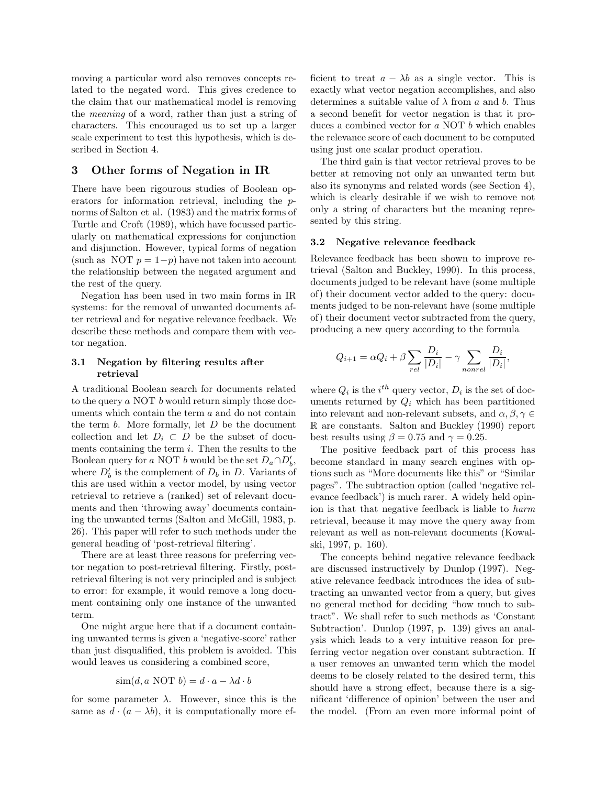moving a particular word also removes concepts related to the negated word. This gives credence to the claim that our mathematical model is removing the meaning of a word, rather than just a string of characters. This encouraged us to set up a larger scale experiment to test this hypothesis, which is described in Section 4.

### 3 Other forms of Negation in IR

There have been rigourous studies of Boolean operators for information retrieval, including the pnorms of Salton et al. (1983) and the matrix forms of Turtle and Croft (1989), which have focussed particularly on mathematical expressions for conjunction and disjunction. However, typical forms of negation (such as NOT  $p = 1-p$ ) have not taken into account the relationship between the negated argument and the rest of the query.

Negation has been used in two main forms in IR systems: for the removal of unwanted documents after retrieval and for negative relevance feedback. We describe these methods and compare them with vector negation.

### 3.1 Negation by filtering results after retrieval

A traditional Boolean search for documents related to the query a NOT b would return simply those documents which contain the term a and do not contain the term  $b$ . More formally, let  $D$  be the document collection and let  $D_i \subset D$  be the subset of documents containing the term  $i$ . Then the results to the Boolean query for a NOT b would be the set  $D_a \cap D'_b$ , where  $D'_b$  is the complement of  $D_b$  in D. Variants of this are used within a vector model, by using vector retrieval to retrieve a (ranked) set of relevant documents and then 'throwing away' documents containing the unwanted terms (Salton and McGill, 1983, p. 26). This paper will refer to such methods under the general heading of 'post-retrieval filtering'.

There are at least three reasons for preferring vector negation to post-retrieval filtering. Firstly, postretrieval filtering is not very principled and is subject to error: for example, it would remove a long document containing only one instance of the unwanted term.

One might argue here that if a document containing unwanted terms is given a 'negative-score' rather than just disqualified, this problem is avoided. This would leaves us considering a combined score,

$$
\text{sim}(d, a \text{ NOT } b) = d \cdot a - \lambda d \cdot b
$$

for some parameter  $\lambda$ . However, since this is the same as  $d \cdot (a - \lambda b)$ , it is computationally more efficient to treat  $a - \lambda b$  as a single vector. This is exactly what vector negation accomplishes, and also determines a suitable value of  $\lambda$  from a and b. Thus a second benefit for vector negation is that it produces a combined vector for a NOT b which enables the relevance score of each document to be computed using just one scalar product operation.

The third gain is that vector retrieval proves to be better at removing not only an unwanted term but also its synonyms and related words (see Section 4), which is clearly desirable if we wish to remove not only a string of characters but the meaning represented by this string.

#### 3.2 Negative relevance feedback

Relevance feedback has been shown to improve retrieval (Salton and Buckley, 1990). In this process, documents judged to be relevant have (some multiple of) their document vector added to the query: documents judged to be non-relevant have (some multiple of) their document vector subtracted from the query, producing a new query according to the formula

$$
Q_{i+1} = \alpha Q_i + \beta \sum_{rel} \frac{D_i}{|D_i|} - \gamma \sum_{nonrel} \frac{D_i}{|D_i|},
$$

where  $Q_i$  is the  $i^{th}$  query vector,  $D_i$  is the set of documents returned by  $Q_i$  which has been partitioned into relevant and non-relevant subsets, and  $\alpha, \beta, \gamma \in$ R are constants. Salton and Buckley (1990) report best results using  $\beta = 0.75$  and  $\gamma = 0.25$ .

The positive feedback part of this process has become standard in many search engines with options such as "More documents like this" or "Similar pages". The subtraction option (called 'negative relevance feedback') is much rarer. A widely held opinion is that that negative feedback is liable to harm retrieval, because it may move the query away from relevant as well as non-relevant documents (Kowalski, 1997, p. 160).

The concepts behind negative relevance feedback are discussed instructively by Dunlop (1997). Negative relevance feedback introduces the idea of subtracting an unwanted vector from a query, but gives no general method for deciding "how much to subtract". We shall refer to such methods as 'Constant Subtraction'. Dunlop (1997, p. 139) gives an analysis which leads to a very intuitive reason for preferring vector negation over constant subtraction. If a user removes an unwanted term which the model deems to be closely related to the desired term, this should have a strong effect, because there is a significant 'difference of opinion' between the user and the model. (From an even more informal point of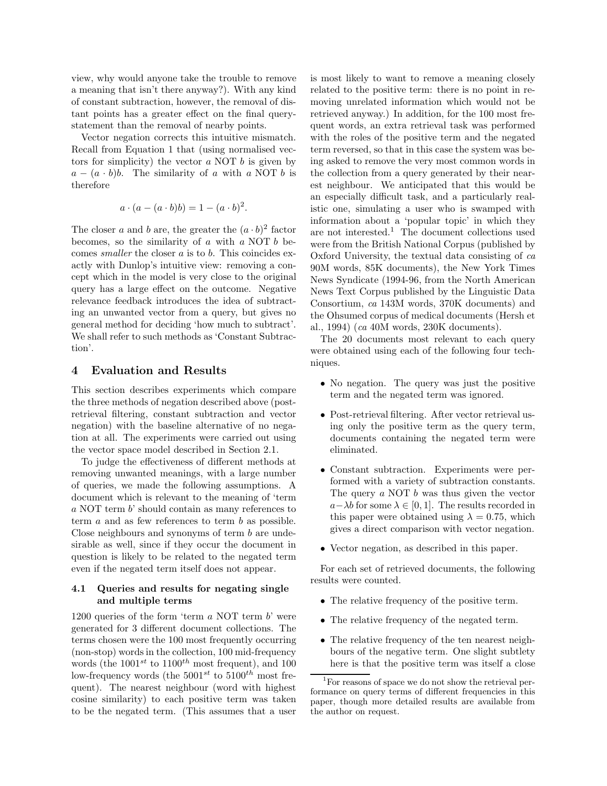view, why would anyone take the trouble to remove a meaning that isn't there anyway?). With any kind of constant subtraction, however, the removal of distant points has a greater effect on the final querystatement than the removal of nearby points.

Vector negation corrects this intuitive mismatch. Recall from Equation 1 that (using normalised vectors for simplicity) the vector  $\alpha$  NOT  $\beta$  is given by  $a - (a \cdot b)b$ . The similarity of a with a NOT b is therefore

$$
a \cdot (a - (a \cdot b)b) = 1 - (a \cdot b)^2.
$$

The closer a and b are, the greater the  $(a \cdot b)^2$  factor becomes, so the similarity of  $a$  with  $a$  NOT  $b$  becomes smaller the closer a is to b. This coincides exactly with Dunlop's intuitive view: removing a concept which in the model is very close to the original query has a large effect on the outcome. Negative relevance feedback introduces the idea of subtracting an unwanted vector from a query, but gives no general method for deciding 'how much to subtract'. We shall refer to such methods as 'Constant Subtraction'.

### 4 Evaluation and Results

This section describes experiments which compare the three methods of negation described above (postretrieval filtering, constant subtraction and vector negation) with the baseline alternative of no negation at all. The experiments were carried out using the vector space model described in Section 2.1.

To judge the effectiveness of different methods at removing unwanted meanings, with a large number of queries, we made the following assumptions. A document which is relevant to the meaning of 'term a NOT term b' should contain as many references to term  $a$  and as few references to term  $b$  as possible. Close neighbours and synonyms of term b are undesirable as well, since if they occur the document in question is likely to be related to the negated term even if the negated term itself does not appear.

### 4.1 Queries and results for negating single and multiple terms

1200 queries of the form 'term  $a$  NOT term  $b$ ' were generated for 3 different document collections. The terms chosen were the 100 most frequently occurring (non-stop) words in the collection, 100 mid-frequency words (the  $1001^{st}$  to  $1100^{th}$  most frequent), and 100 low-frequency words (the  $5001^{st}$  to  $5100^{th}$  most frequent). The nearest neighbour (word with highest cosine similarity) to each positive term was taken to be the negated term. (This assumes that a user

is most likely to want to remove a meaning closely related to the positive term: there is no point in removing unrelated information which would not be retrieved anyway.) In addition, for the 100 most frequent words, an extra retrieval task was performed with the roles of the positive term and the negated term reversed, so that in this case the system was being asked to remove the very most common words in the collection from a query generated by their nearest neighbour. We anticipated that this would be an especially difficult task, and a particularly realistic one, simulating a user who is swamped with information about a 'popular topic' in which they are not interested.<sup>1</sup> The document collections used were from the British National Corpus (published by Oxford University, the textual data consisting of ca 90M words, 85K documents), the New York Times News Syndicate (1994-96, from the North American News Text Corpus published by the Linguistic Data Consortium, ca 143M words, 370K documents) and the Ohsumed corpus of medical documents (Hersh et al., 1994) (ca 40M words, 230K documents).

The 20 documents most relevant to each query were obtained using each of the following four techniques.

- No negation. The query was just the positive term and the negated term was ignored.
- Post-retrieval filtering. After vector retrieval using only the positive term as the query term, documents containing the negated term were eliminated.
- Constant subtraction. Experiments were performed with a variety of subtraction constants. The query a NOT b was thus given the vector  $a-\lambda b$  for some  $\lambda \in [0,1]$ . The results recorded in this paper were obtained using  $\lambda = 0.75$ , which gives a direct comparison with vector negation.
- Vector negation, as described in this paper.

For each set of retrieved documents, the following results were counted.

- The relative frequency of the positive term.
- The relative frequency of the negated term.
- The relative frequency of the ten nearest neighbours of the negative term. One slight subtlety here is that the positive term was itself a close

<sup>&</sup>lt;sup>1</sup>For reasons of space we do not show the retrieval performance on query terms of different frequencies in this paper, though more detailed results are available from the author on request.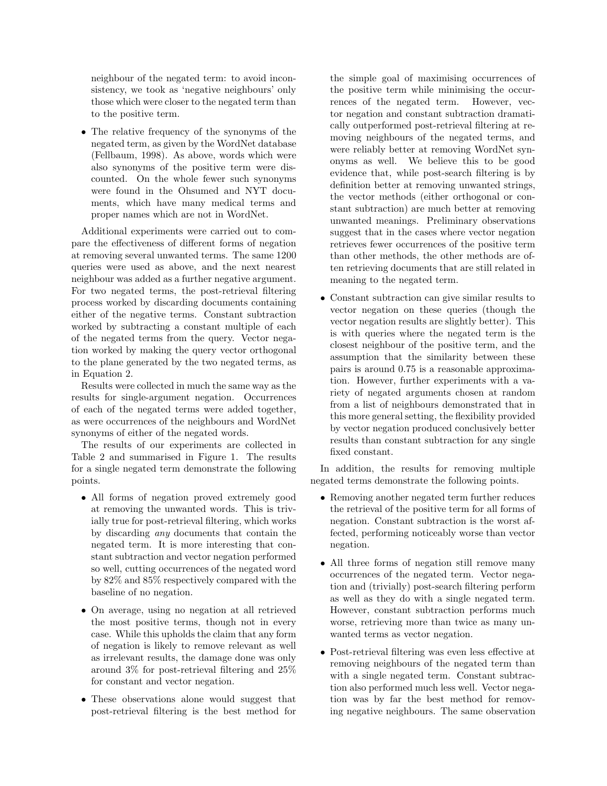neighbour of the negated term: to avoid inconsistency, we took as 'negative neighbours' only those which were closer to the negated term than to the positive term.

• The relative frequency of the synonyms of the negated term, as given by the WordNet database (Fellbaum, 1998). As above, words which were also synonyms of the positive term were discounted. On the whole fewer such synonyms were found in the Ohsumed and NYT documents, which have many medical terms and proper names which are not in WordNet.

Additional experiments were carried out to compare the effectiveness of different forms of negation at removing several unwanted terms. The same 1200 queries were used as above, and the next nearest neighbour was added as a further negative argument. For two negated terms, the post-retrieval filtering process worked by discarding documents containing either of the negative terms. Constant subtraction worked by subtracting a constant multiple of each of the negated terms from the query. Vector negation worked by making the query vector orthogonal to the plane generated by the two negated terms, as in Equation 2.

Results were collected in much the same way as the results for single-argument negation. Occurrences of each of the negated terms were added together, as were occurrences of the neighbours and WordNet synonyms of either of the negated words.

The results of our experiments are collected in Table 2 and summarised in Figure 1. The results for a single negated term demonstrate the following points.

- All forms of negation proved extremely good at removing the unwanted words. This is trivially true for post-retrieval filtering, which works by discarding any documents that contain the negated term. It is more interesting that constant subtraction and vector negation performed so well, cutting occurrences of the negated word by 82% and 85% respectively compared with the baseline of no negation.
- On average, using no negation at all retrieved the most positive terms, though not in every case. While this upholds the claim that any form of negation is likely to remove relevant as well as irrelevant results, the damage done was only around 3% for post-retrieval filtering and 25% for constant and vector negation.
- These observations alone would suggest that post-retrieval filtering is the best method for

the simple goal of maximising occurrences of the positive term while minimising the occurrences of the negated term. However, vector negation and constant subtraction dramatically outperformed post-retrieval filtering at removing neighbours of the negated terms, and were reliably better at removing WordNet synonyms as well. We believe this to be good evidence that, while post-search filtering is by definition better at removing unwanted strings, the vector methods (either orthogonal or constant subtraction) are much better at removing unwanted meanings. Preliminary observations suggest that in the cases where vector negation retrieves fewer occurrences of the positive term than other methods, the other methods are often retrieving documents that are still related in meaning to the negated term.

• Constant subtraction can give similar results to vector negation on these queries (though the vector negation results are slightly better). This is with queries where the negated term is the closest neighbour of the positive term, and the assumption that the similarity between these pairs is around 0.75 is a reasonable approximation. However, further experiments with a variety of negated arguments chosen at random from a list of neighbours demonstrated that in this more general setting, the flexibility provided by vector negation produced conclusively better results than constant subtraction for any single fixed constant.

In addition, the results for removing multiple negated terms demonstrate the following points.

- Removing another negated term further reduces the retrieval of the positive term for all forms of negation. Constant subtraction is the worst affected, performing noticeably worse than vector negation.
- All three forms of negation still remove many occurrences of the negated term. Vector negation and (trivially) post-search filtering perform as well as they do with a single negated term. However, constant subtraction performs much worse, retrieving more than twice as many unwanted terms as vector negation.
- Post-retrieval filtering was even less effective at removing neighbours of the negated term than with a single negated term. Constant subtraction also performed much less well. Vector negation was by far the best method for removing negative neighbours. The same observation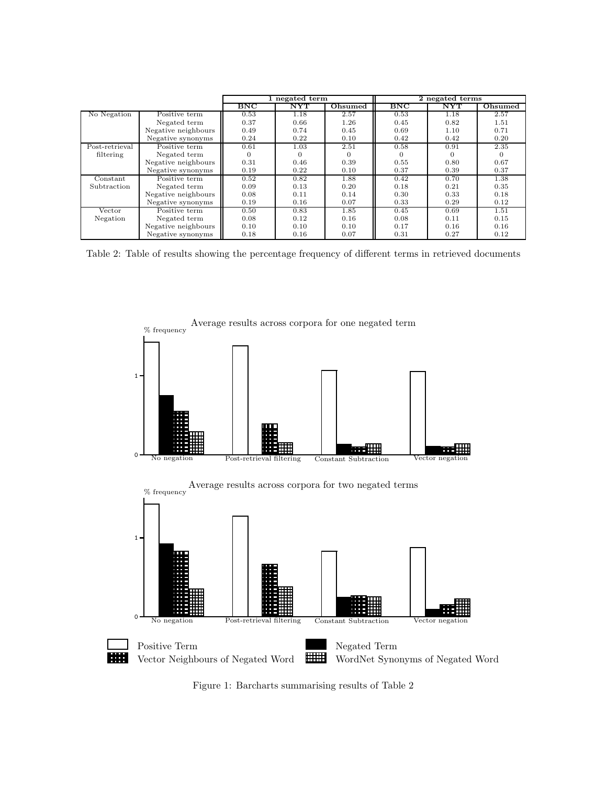|                |                     | 1 negated term |                   | 2 negated terms |              |                   |                |
|----------------|---------------------|----------------|-------------------|-----------------|--------------|-------------------|----------------|
|                |                     | $_{\rm BNC}$   | $_{\mathrm{NYT}}$ | Ohsumed         | $_{\rm BNC}$ | $_{\mathrm{NYT}}$ | <b>Ohsumed</b> |
| No Negation    | Positive term       | 0.53           | 1.18              | 2.57            | 0.53         | 1.18              | 2.57           |
|                | Negated term        | 0.37           | 0.66              | 1.26            | 0.45         | 0.82              | 1.51           |
|                | Negative neighbours | 0.49           | 0.74              | 0.45            | 0.69         | 1.10              | 0.71           |
|                | Negative synonyms   | 0.24           | 0.22              | 0.10            | 0.42         | 0.42              | 0.20           |
| Post-retrieval | Positive term       | 0.61           | 1.03              | 2.51            | 0.58         | 0.91              | 2.35           |
| filtering      | Negated term        | $\Omega$       |                   |                 |              |                   |                |
|                | Negative neighbours | 0.31           | 0.46              | 0.39            | 0.55         | 0.80              | 0.67           |
|                | Negative synonyms   | 0.19           | 0.22              | 0.10            | 0.37         | 0.39              | 0.37           |
| Constant       | Positive term       | 0.52           | 0.82              | 1.88            | 0.42         | 0.70              | 1.38           |
| Subtraction    | Negated term        | 0.09           | 0.13              | 0.20            | 0.18         | 0.21              | 0.35           |
|                | Negative neighbours | 0.08           | 0.11              | 0.14            | 0.30         | 0.33              | 0.18           |
|                | Negative synonyms   | 0.19           | 0.16              | 0.07            | 0.33         | 0.29              | 0.12           |
| $\rm Vector$   | Positive term       | 0.50           | 0.83              | 1.85            | 0.45         | 0.69              | 1.51           |
| Negation       | Negated term        | 0.08           | 0.12              | 0.16            | 0.08         | 0.11              | 0.15           |
|                | Negative neighbours | 0.10           | 0.10              | 0.10            | 0.17         | 0.16              | 0.16           |
|                | Negative synonyms   | 0.18           | 0.16              | 0.07            | 0.31         | 0.27              | 0.12           |

Table 2: Table of results showing the percentage frequency of different terms in retrieved documents



Figure 1: Barcharts summarising results of Table 2